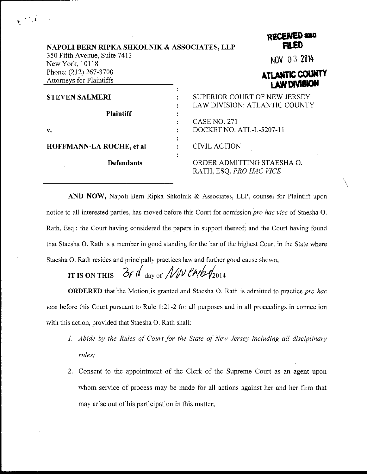| NAPOLI BERN RIPKA SHKOLNIK & ASSOCIATES, LLP             | <b>FILED</b>                                                  |
|----------------------------------------------------------|---------------------------------------------------------------|
| 350 Fifth Avenue, Suite 7413<br>New York, 10118          | NOV 03 2014                                                   |
| Phone: (212) 267-3700<br><b>Attorneys for Plaintiffs</b> | ATLANTIC COUNTY<br><b>LAW DIVISION</b>                        |
| <b>STEVEN SALMERI</b>                                    | SUPERIOR COURT OF NEW JERSEY<br>LAW DIVISION: ATLANTIC COUNTY |
| <b>Plaintiff</b>                                         | <b>CASE NO: 271</b>                                           |
| v.                                                       | DOCKET NO. ATL-L-5207-11                                      |
| <b>HOFFMANN-LA ROCHE, et al</b>                          | <b>CIVIL ACTION</b>                                           |
| <b>Defendants</b>                                        | ORDER ADMITTING STAESHA O.<br>RATH, ESQ. PRO HAC VICE         |

pscFNED 200

AND NOW, Napoli Bern Ripka Shkolnik & Associates, LLP, counsel for Plaintiff upon notice to all interested parties, has moved before this Court for admission pro hac vice of Staesha O. Rath, Esq.; the Court having considered the papers in support thereof; and the Court having found that Staesha O. Rath is a member in good standing for the bar of the highest Court in the State where Staesha O. Rath resides and principally practices law and further good cause shown,

IT IS ON THIS  $\frac{\partial f}{\partial \theta}$  day of  $\frac{N}{N}$  employers

**ORDERED** that the Motion is granted and Staesha O. Rath is admitted to practice pro hac vice before this Court pursuant to Rule 1:21-2 for all purposes and in all proceedings in connection with this action, provided that Staesha O. Rath shall:

- 1. Abide by the Rules of Court for the State of New Jersey including all disciplinary rules;
- 2. Consent to the appointment of the Clerk of the Supreme Court as an agent upon whom service of process may be made for all actions against her and her firm that may arise out of his participation in this matter;